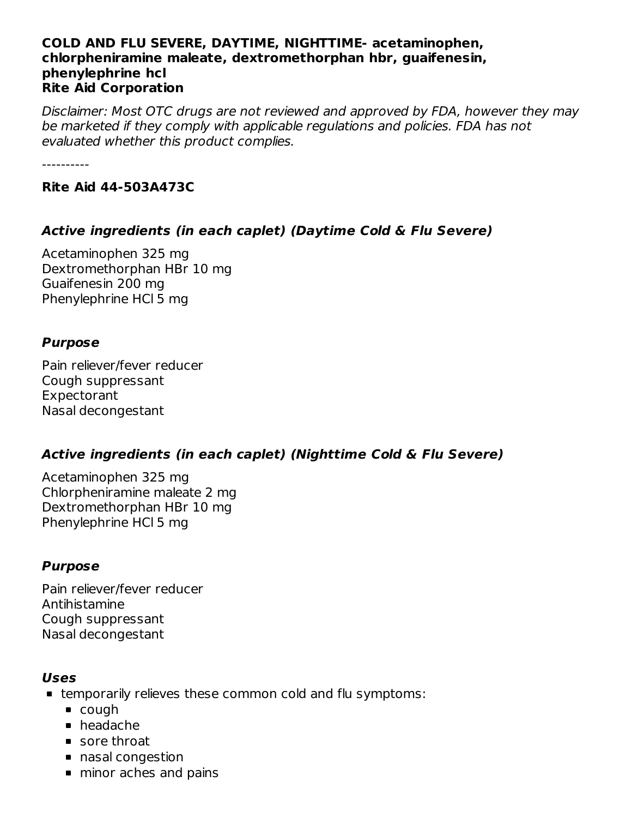#### **COLD AND FLU SEVERE, DAYTIME, NIGHTTIME- acetaminophen, chlorpheniramine maleate, dextromethorphan hbr, guaifenesin, phenylephrine hcl Rite Aid Corporation**

Disclaimer: Most OTC drugs are not reviewed and approved by FDA, however they may be marketed if they comply with applicable regulations and policies. FDA has not evaluated whether this product complies.

----------

#### **Rite Aid 44-503A473C**

## **Active ingredients (in each caplet) (Daytime Cold & Flu Severe)**

Acetaminophen 325 mg Dextromethorphan HBr 10 mg Guaifenesin 200 mg Phenylephrine HCl 5 mg

## **Purpose**

Pain reliever/fever reducer Cough suppressant Expectorant Nasal decongestant

## **Active ingredients (in each caplet) (Nighttime Cold & Flu Severe)**

Acetaminophen 325 mg Chlorpheniramine maleate 2 mg Dextromethorphan HBr 10 mg Phenylephrine HCl 5 mg

## **Purpose**

Pain reliever/fever reducer Antihistamine Cough suppressant Nasal decongestant

#### **Uses**

- temporarily relieves these common cold and flu symptoms:
	- cough
	- headache
	- sore throat
	- nasal congestion
	- minor aches and pains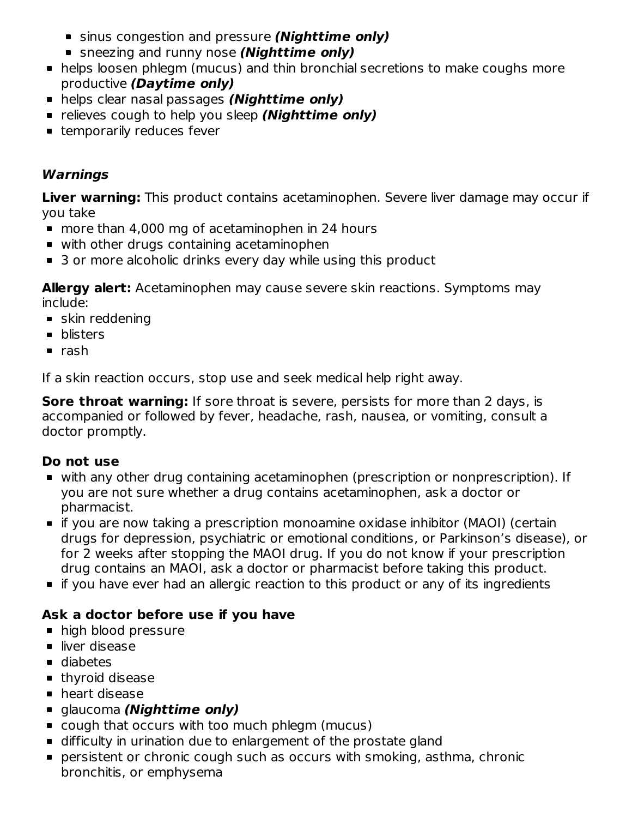- sinus congestion and pressure **(Nighttime only)**
- sneezing and runny nose **(Nighttime only)**
- helps loosen phlegm (mucus) and thin bronchial secretions to make coughs more productive **(Daytime only)**
- helps clear nasal passages **(Nighttime only)**
- **Example 1** relieves cough to help you sleep **(Nighttime only)**
- **Example 1** temporarily reduces fever

## **Warnings**

**Liver warning:** This product contains acetaminophen. Severe liver damage may occur if you take

- more than 4,000 mg of acetaminophen in 24 hours
- with other drugs containing acetaminophen
- 3 or more alcoholic drinks every day while using this product

**Allergy alert:** Acetaminophen may cause severe skin reactions. Symptoms may include:

- **skin reddening**
- **•** blisters
- $rac{1}{2}$ rash

If a skin reaction occurs, stop use and seek medical help right away.

**Sore throat warning:** If sore throat is severe, persists for more than 2 days, is accompanied or followed by fever, headache, rash, nausea, or vomiting, consult a doctor promptly.

## **Do not use**

- with any other drug containing acetaminophen (prescription or nonprescription). If you are not sure whether a drug contains acetaminophen, ask a doctor or pharmacist.
- if you are now taking a prescription monoamine oxidase inhibitor (MAOI) (certain drugs for depression, psychiatric or emotional conditions, or Parkinson's disease), or for 2 weeks after stopping the MAOI drug. If you do not know if your prescription drug contains an MAOI, ask a doctor or pharmacist before taking this product.
- if you have ever had an allergic reaction to this product or any of its ingredients

# **Ask a doctor before use if you have**

- high blood pressure
- liver disease
- diabetes
- **thyroid disease**
- **heart disease**
- glaucoma **(Nighttime only)**
- cough that occurs with too much phlegm (mucus)
- difficulty in urination due to enlargement of the prostate gland
- persistent or chronic cough such as occurs with smoking, asthma, chronic bronchitis, or emphysema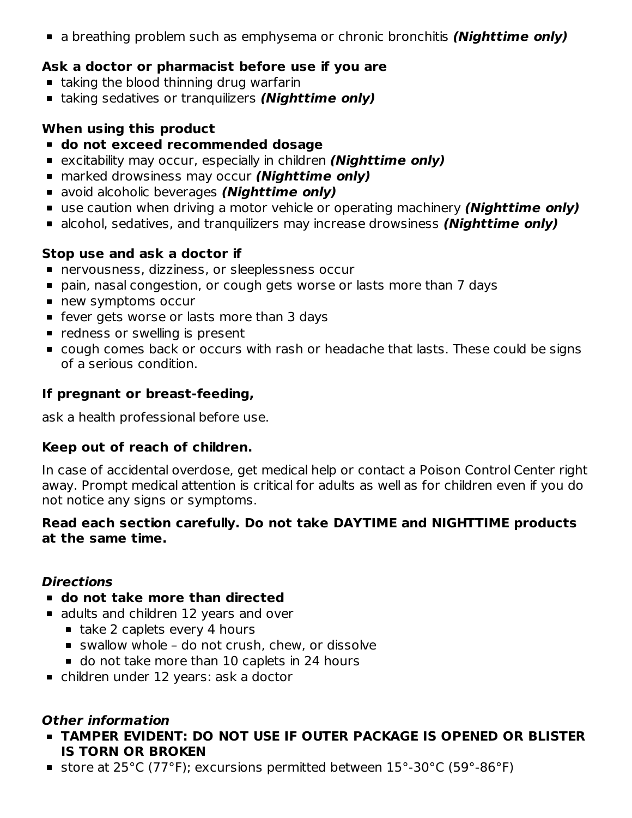a breathing problem such as emphysema or chronic bronchitis **(Nighttime only)**

## **Ask a doctor or pharmacist before use if you are**

- **taking the blood thinning drug warfarin**
- taking sedatives or tranquilizers **(Nighttime only)**

## **When using this product**

- **do not exceed recommended dosage**
- excitability may occur, especially in children **(Nighttime only)**
- marked drowsiness may occur **(Nighttime only)**
- avoid alcoholic beverages **(Nighttime only)**
- use caution when driving a motor vehicle or operating machinery **(Nighttime only)**
- alcohol, sedatives, and tranquilizers may increase drowsiness **(Nighttime only)**

## **Stop use and ask a doctor if**

- nervousness, dizziness, or sleeplessness occur
- pain, nasal congestion, or cough gets worse or lasts more than 7 days
- new symptoms occur
- **•** fever gets worse or lasts more than 3 days
- **•** redness or swelling is present
- cough comes back or occurs with rash or headache that lasts. These could be signs of a serious condition.

## **If pregnant or breast-feeding,**

ask a health professional before use.

## **Keep out of reach of children.**

In case of accidental overdose, get medical help or contact a Poison Control Center right away. Prompt medical attention is critical for adults as well as for children even if you do not notice any signs or symptoms.

## **Read each section carefully. Do not take DAYTIME and NIGHTTIME products at the same time.**

## **Directions**

- **do not take more than directed**
- adults and children 12 years and over
	- $\blacksquare$  take 2 caplets every 4 hours
	- swallow whole do not crush, chew, or dissolve
	- o do not take more than 10 caplets in 24 hours
- children under 12 years: ask a doctor

## **Other information**

- **TAMPER EVIDENT: DO NOT USE IF OUTER PACKAGE IS OPENED OR BLISTER IS TORN OR BROKEN**
- store at 25°C (77°F); excursions permitted between 15°-30°C (59°-86°F)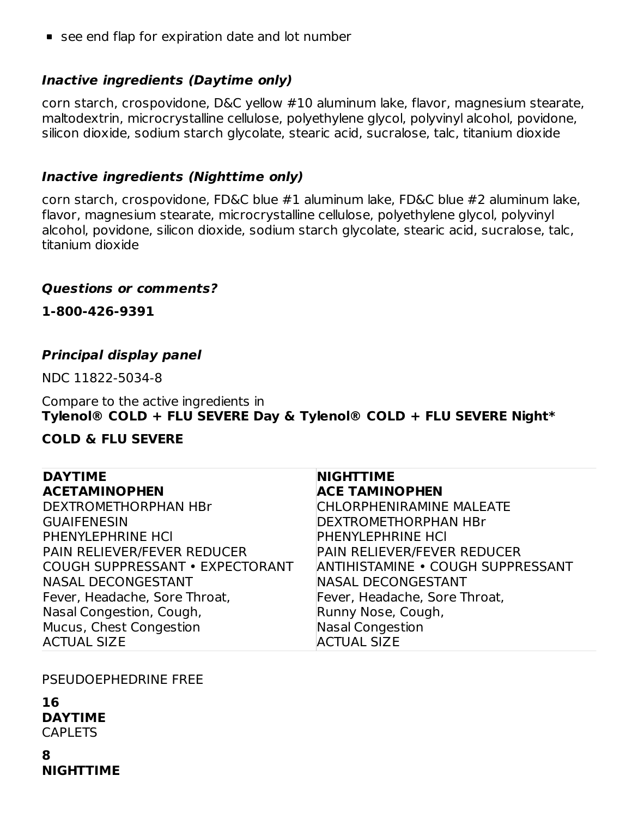■ see end flap for expiration date and lot number

#### **Inactive ingredients (Daytime only)**

corn starch, crospovidone, D&C yellow #10 aluminum lake, flavor, magnesium stearate, maltodextrin, microcrystalline cellulose, polyethylene glycol, polyvinyl alcohol, povidone, silicon dioxide, sodium starch glycolate, stearic acid, sucralose, talc, titanium dioxide

#### **Inactive ingredients (Nighttime only)**

corn starch, crospovidone, FD&C blue #1 aluminum lake, FD&C blue #2 aluminum lake, flavor, magnesium stearate, microcrystalline cellulose, polyethylene glycol, polyvinyl alcohol, povidone, silicon dioxide, sodium starch glycolate, stearic acid, sucralose, talc, titanium dioxide

#### **Questions or comments?**

**1-800-426-9391**

#### **Principal display panel**

NDC 11822-5034-8

Compare to the active ingredients in **Tylenol® COLD + FLU SEVERE Day & Tylenol® COLD + FLU SEVERE Night\***

#### **COLD & FLU SEVERE**

| <b>DAYTIME</b>                         | <b>NIGHTTIME</b>                   |
|----------------------------------------|------------------------------------|
| <b>ACETAMINOPHEN</b>                   | <b>ACE TAMINOPHEN</b>              |
| DEXTROMETHORPHAN HBr                   | <b>CHLORPHENIRAMINE MALEATE</b>    |
| <b>GUAIFENESIN</b>                     | <b>DEXTROMETHORPHAN HBr</b>        |
| PHENYLEPHRINE HCI                      | <b>PHENYLEPHRINE HCI</b>           |
| PAIN RELIEVER/FEVER REDUCER            | <b>PAIN RELIEVER/FEVER REDUCER</b> |
| <b>COUGH SUPPRESSANT • EXPECTORANT</b> | ANTIHISTAMINE . COUGH SUPPRESSANT  |
| <b>NASAL DECONGESTANT</b>              | <b>NASAL DECONGESTANT</b>          |
| Fever, Headache, Sore Throat,          | Fever, Headache, Sore Throat,      |
| Nasal Congestion, Cough,               | Runny Nose, Cough,                 |
| Mucus, Chest Congestion                | Nasal Congestion                   |
| <b>ACTUAL SIZE</b>                     | <b>ACTUAL SIZE</b>                 |

PSEUDOEPHEDRINE FREE

**16 DAYTIME CAPLETS** 

**8 NIGHTTIME**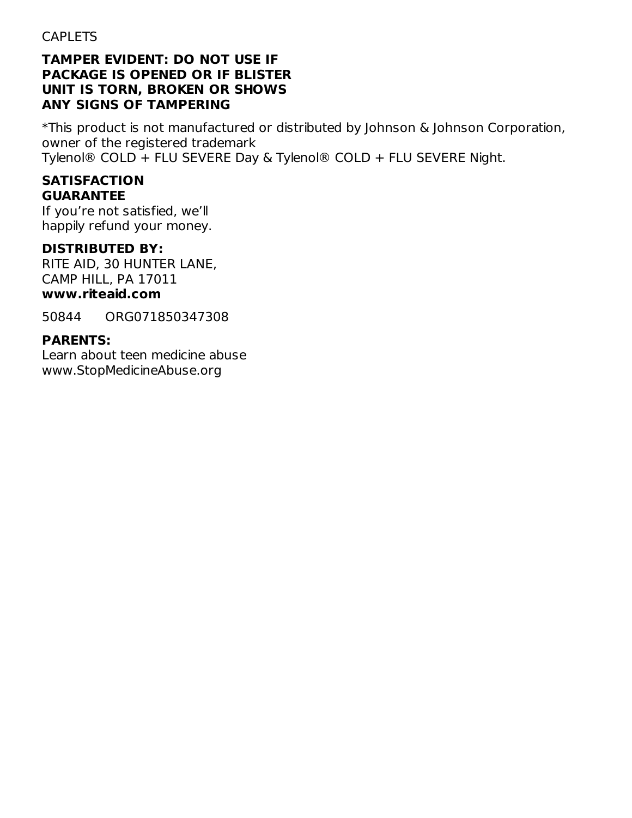#### **TAMPER EVIDENT: DO NOT USE IF PACKAGE IS OPENED OR IF BLISTER UNIT IS TORN, BROKEN OR SHOWS ANY SIGNS OF TAMPERING**

\*This product is not manufactured or distributed by Johnson & Johnson Corporation, owner of the registered trademark Tylenol® COLD + FLU SEVERE Day & Tylenol® COLD + FLU SEVERE Night.

#### **SATISFACTION GUARANTEE**

If you're not satisfied, we'll happily refund your money.

## **DISTRIBUTED BY:**

RITE AID, 30 HUNTER LANE, CAMP HILL, PA 17011

# **www.riteaid.com**

50844 ORG071850347308

## **PARENTS:**

Learn about teen medicine abuse www.StopMedicineAbuse.org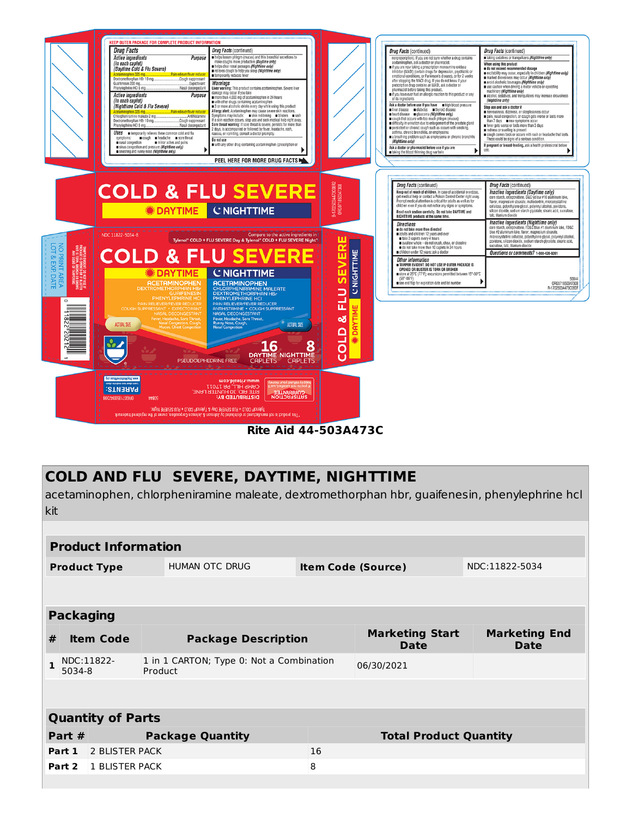

**Rite Aid 44-503A473C**

# **COLD AND FLU SEVERE, DAYTIME, NIGHTTIME**

acetaminophen, chlorpheniramine maleate, dextromethorphan hbr, guaifenesin, phenylephrine hcl kit

|                          | <b>Product Information</b>                                                  |                            |                         |                               |                                       |                                     |  |
|--------------------------|-----------------------------------------------------------------------------|----------------------------|-------------------------|-------------------------------|---------------------------------------|-------------------------------------|--|
|                          | <b>Product Type</b>                                                         |                            | <b>HUMAN OTC DRUG</b>   | <b>Item Code (Source)</b>     |                                       | NDC:11822-5034                      |  |
|                          |                                                                             |                            |                         |                               |                                       |                                     |  |
| <b>Packaging</b>         |                                                                             |                            |                         |                               |                                       |                                     |  |
| #                        | <b>Item Code</b>                                                            | <b>Package Description</b> |                         |                               | <b>Marketing Start</b><br><b>Date</b> | <b>Marketing End</b><br><b>Date</b> |  |
| 1                        | 1 in 1 CARTON; Type 0: Not a Combination<br>NDC:11822-<br>Product<br>5034-8 |                            |                         | 06/30/2021                    |                                       |                                     |  |
|                          |                                                                             |                            |                         |                               |                                       |                                     |  |
| <b>Quantity of Parts</b> |                                                                             |                            |                         |                               |                                       |                                     |  |
| Part #                   |                                                                             |                            | <b>Package Quantity</b> | <b>Total Product Quantity</b> |                                       |                                     |  |
| Part 1                   | <b>2 BLISTER PACK</b>                                                       |                            |                         | 16                            |                                       |                                     |  |
|                          | <b>Part 2</b> 1 BLISTER PACK                                                |                            |                         | 8                             |                                       |                                     |  |
|                          |                                                                             |                            |                         |                               |                                       |                                     |  |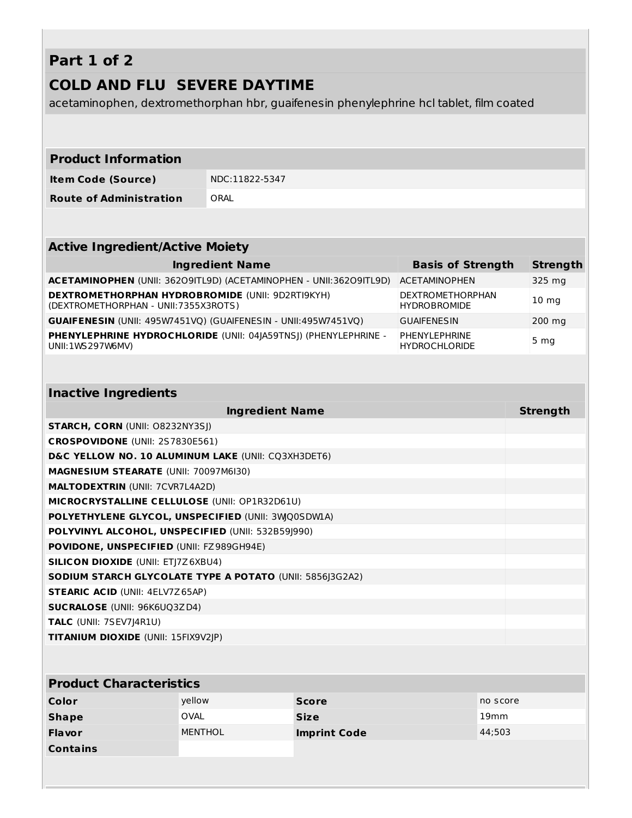# **Part 1 of 2**

## **COLD AND FLU SEVERE DAYTIME**

acetaminophen, dextromethorphan hbr, guaifenesin phenylephrine hcl tablet, film coated

| <b>Product Information</b>                                                                       |                                                                     |                                         |                  |
|--------------------------------------------------------------------------------------------------|---------------------------------------------------------------------|-----------------------------------------|------------------|
| <b>Item Code (Source)</b>                                                                        | NDC:11822-5347                                                      |                                         |                  |
| <b>Route of Administration</b>                                                                   | ORAL                                                                |                                         |                  |
|                                                                                                  |                                                                     |                                         |                  |
| <b>Active Ingredient/Active Moiety</b>                                                           |                                                                     |                                         |                  |
|                                                                                                  | <b>Ingredient Name</b>                                              | <b>Basis of Strength</b>                | <b>Strength</b>  |
|                                                                                                  | ACETAMINOPHEN (UNII: 36209ITL9D) (ACETAMINOPHEN - UNII: 36209ITL9D) | <b>ACETAMINOPHEN</b>                    | 325 mg           |
| <b>DEXTROMETHORPHAN HYDROBROMIDE (UNII: 9D2RTI9KYH)</b><br>(DEXTROMETHORPHAN - UNII: 7355X3ROTS) |                                                                     | DEXTROMETHORPHAN<br><b>HYDROBROMIDE</b> | 10 <sub>mg</sub> |
| GUAIFENESIN (UNII: 495W7451VQ) (GUAIFENESIN - UNII:495W7451VQ)                                   |                                                                     | <b>GUAIFENESIN</b>                      | 200 mg           |
| UNII: 1WS 297 W6MV)                                                                              | PHENYLEPHRINE HYDROCHLORIDE (UNII: 04 A59TNS)) (PHENYLEPHRINE -     | PHENYLEPHRINE<br><b>HYDROCHLORIDE</b>   | 5 <sub>mg</sub>  |
|                                                                                                  |                                                                     |                                         |                  |
| <b>Inactive Ingredients</b>                                                                      |                                                                     |                                         |                  |
|                                                                                                  | <b>Ingredient Name</b>                                              |                                         | <b>Strength</b>  |
| <b>STARCH, CORN (UNII: O8232NY3SJ)</b>                                                           |                                                                     |                                         |                  |
| CROSPOVIDONE (UNII: 2S7830E561)                                                                  |                                                                     |                                         |                  |
| D&C YELLOW NO. 10 ALUMINUM LAKE (UNII: CQ3XH3DET6)                                               |                                                                     |                                         |                  |
| MAGNESIUM STEARATE (UNII: 70097M6I30)                                                            |                                                                     |                                         |                  |
| <b>MALTODEXTRIN (UNII: 7CVR7L4A2D)</b>                                                           |                                                                     |                                         |                  |
| MICROCRYSTALLINE CELLULOSE (UNII: OP1R32D61U)                                                    |                                                                     |                                         |                  |
| POLYETHYLENE GLYCOL, UNSPECIFIED (UNII: 3WQ0SDWLA)                                               |                                                                     |                                         |                  |
| POLYVINYL ALCOHOL, UNSPECIFIED (UNII: 532B59J990)                                                |                                                                     |                                         |                  |
| POVIDONE, UNSPECIFIED (UNII: FZ989GH94E)                                                         |                                                                     |                                         |                  |
| <b>SILICON DIOXIDE (UNII: ETJ7Z6XBU4)</b>                                                        |                                                                     |                                         |                  |
| SODIUM STARCH GLYCOLATE TYPE A POTATO (UNII: 5856 3G2A2)                                         |                                                                     |                                         |                  |
| <b>STEARIC ACID (UNII: 4ELV7Z65AP)</b>                                                           |                                                                     |                                         |                  |
| <b>SUCRALOSE (UNII: 96K6UQ3ZD4)</b>                                                              |                                                                     |                                         |                  |
| TALC (UNII: 7SEV7J4R1U)                                                                          |                                                                     |                                         |                  |
| TITANIUM DIOXIDE (UNII: 15FIX9V2JP)                                                              |                                                                     |                                         |                  |
|                                                                                                  |                                                                     |                                         |                  |
| <b>Product Characteristics</b>                                                                   |                                                                     |                                         |                  |

| Color           | vellow         | <b>Score</b>        | no score         |
|-----------------|----------------|---------------------|------------------|
| <b>Shape</b>    | OVAL           | <b>Size</b>         | 19 <sub>mm</sub> |
| <b>Flavor</b>   | <b>MENTHOL</b> | <b>Imprint Code</b> | 44;503           |
| <b>Contains</b> |                |                     |                  |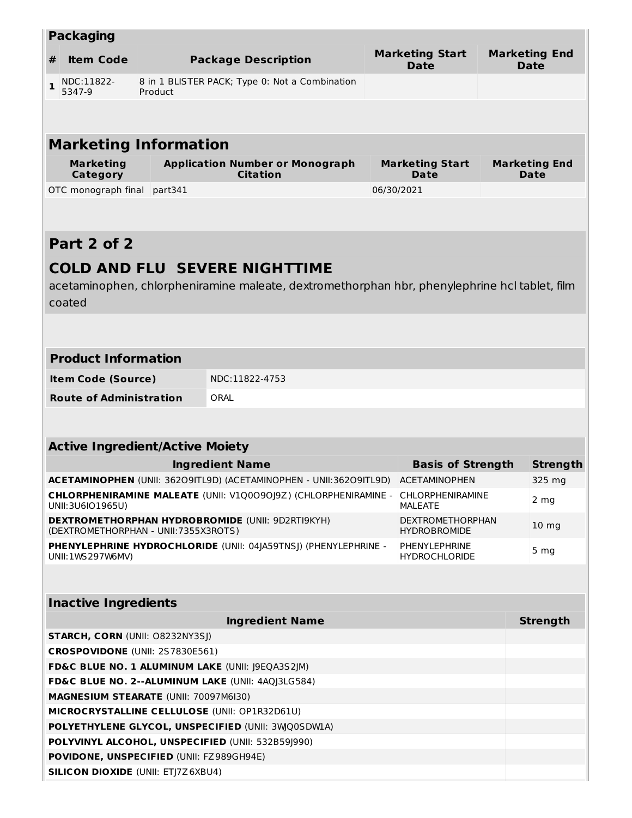|                                                                                     | <b>Packaging</b>                             |                                                           |                                                                                               |            |                                                |  |                                     |  |
|-------------------------------------------------------------------------------------|----------------------------------------------|-----------------------------------------------------------|-----------------------------------------------------------------------------------------------|------------|------------------------------------------------|--|-------------------------------------|--|
| #                                                                                   | <b>Item Code</b>                             | <b>Package Description</b>                                |                                                                                               |            | <b>Marketing Start</b><br><b>Date</b>          |  | <b>Marketing End</b><br><b>Date</b> |  |
| $\mathbf{1}$                                                                        | NDC:11822-<br>5347-9                         | 8 in 1 BLISTER PACK; Type 0: Not a Combination<br>Product |                                                                                               |            |                                                |  |                                     |  |
|                                                                                     |                                              |                                                           |                                                                                               |            |                                                |  |                                     |  |
|                                                                                     |                                              |                                                           |                                                                                               |            |                                                |  |                                     |  |
|                                                                                     | <b>Marketing Information</b>                 |                                                           |                                                                                               |            |                                                |  |                                     |  |
|                                                                                     | <b>Marketing</b><br><b>Category</b>          |                                                           | <b>Application Number or Monograph</b><br><b>Citation</b>                                     |            | <b>Marketing Start</b><br>Date                 |  | <b>Marketing End</b><br>Date        |  |
|                                                                                     | OTC monograph final                          | part341                                                   |                                                                                               | 06/30/2021 |                                                |  |                                     |  |
|                                                                                     |                                              |                                                           |                                                                                               |            |                                                |  |                                     |  |
|                                                                                     | Part 2 of 2                                  |                                                           |                                                                                               |            |                                                |  |                                     |  |
|                                                                                     |                                              |                                                           | <b>COLD AND FLU SEVERE NIGHTTIME</b>                                                          |            |                                                |  |                                     |  |
|                                                                                     |                                              |                                                           | acetaminophen, chlorpheniramine maleate, dextromethorphan hbr, phenylephrine hcl tablet, film |            |                                                |  |                                     |  |
|                                                                                     | coated                                       |                                                           |                                                                                               |            |                                                |  |                                     |  |
|                                                                                     |                                              |                                                           |                                                                                               |            |                                                |  |                                     |  |
|                                                                                     |                                              |                                                           |                                                                                               |            |                                                |  |                                     |  |
|                                                                                     | <b>Product Information</b>                   |                                                           |                                                                                               |            |                                                |  |                                     |  |
|                                                                                     | <b>Item Code (Source)</b>                    |                                                           | NDC:11822-4753                                                                                |            |                                                |  |                                     |  |
|                                                                                     | <b>Route of Administration</b>               |                                                           | ORAL                                                                                          |            |                                                |  |                                     |  |
|                                                                                     |                                              |                                                           |                                                                                               |            |                                                |  |                                     |  |
|                                                                                     |                                              |                                                           |                                                                                               |            |                                                |  |                                     |  |
|                                                                                     | <b>Active Ingredient/Active Moiety</b>       |                                                           |                                                                                               |            |                                                |  |                                     |  |
|                                                                                     |                                              |                                                           | <b>Ingredient Name</b>                                                                        |            | <b>Basis of Strength</b>                       |  | <b>Strength</b>                     |  |
|                                                                                     |                                              |                                                           | ACETAMINOPHEN (UNII: 36209ITL9D) (ACETAMINOPHEN - UNII:36209ITL9D)                            |            | <b>ACETAMINOPHEN</b>                           |  | 325 mg                              |  |
| CHLORPHENIRAMINE MALEATE (UNII: V1Q0090J9Z) (CHLORPHENIRAMINE -<br>UNII:3U6IO1965U) |                                              |                                                           | <b>CHLORPHENIRAMINE</b><br>MALEATE                                                            |            | 2 mg                                           |  |                                     |  |
|                                                                                     | (DEXTROMETHORPHAN - UNII:7355X3ROTS)         |                                                           | <b>DEXTROMETHORPHAN HYDROBROMIDE (UNII: 9D2RTI9KYH)</b>                                       |            | <b>DEXTROMETHORPHAN</b><br><b>HYDROBROMIDE</b> |  | 10 <sub>mg</sub>                    |  |
|                                                                                     | UNII: 1WS 297W6MV)                           |                                                           | PHENYLEPHRINE HYDROCHLORIDE (UNII: 04JA59TNSJ) (PHENYLEPHRINE -                               |            | PHENYLEPHRINE<br><b>HYDROCHLORIDE</b>          |  | 5 <sub>mg</sub>                     |  |
|                                                                                     |                                              |                                                           |                                                                                               |            |                                                |  |                                     |  |
|                                                                                     | <b>Inactive Ingredients</b>                  |                                                           |                                                                                               |            |                                                |  |                                     |  |
|                                                                                     |                                              |                                                           | <b>Ingredient Name</b>                                                                        |            |                                                |  | <b>Strength</b>                     |  |
|                                                                                     | <b>STARCH, CORN (UNII: O8232NY3SJ)</b>       |                                                           |                                                                                               |            |                                                |  |                                     |  |
|                                                                                     | CROSPOVIDONE (UNII: 2S7830E561)              |                                                           |                                                                                               |            |                                                |  |                                     |  |
| FD&C BLUE NO. 1 ALUMINUM LAKE (UNII: J9EQA3S2JM)                                    |                                              |                                                           |                                                                                               |            |                                                |  |                                     |  |
| FD&C BLUE NO. 2--ALUMINUM LAKE (UNII: 4AQJ3LG584)                                   |                                              |                                                           |                                                                                               |            |                                                |  |                                     |  |
|                                                                                     | <b>MAGNESIUM STEARATE (UNII: 70097M6I30)</b> |                                                           |                                                                                               |            |                                                |  |                                     |  |
| MICROCRYSTALLINE CELLULOSE (UNII: OP1R32D61U)                                       |                                              |                                                           |                                                                                               |            |                                                |  |                                     |  |
| POLYETHYLENE GLYCOL, UNSPECIFIED (UNII: 3WQ0SDWLA)                                  |                                              |                                                           |                                                                                               |            |                                                |  |                                     |  |
| POLYVINYL ALCOHOL, UNSPECIFIED (UNII: 532B59J990)                                   |                                              |                                                           |                                                                                               |            |                                                |  |                                     |  |
| POVIDONE, UNSPECIFIED (UNII: FZ989GH94E)                                            |                                              |                                                           |                                                                                               |            |                                                |  |                                     |  |
| <b>SILICON DIOXIDE (UNII: ETJ7Z6XBU4)</b>                                           |                                              |                                                           |                                                                                               |            |                                                |  |                                     |  |